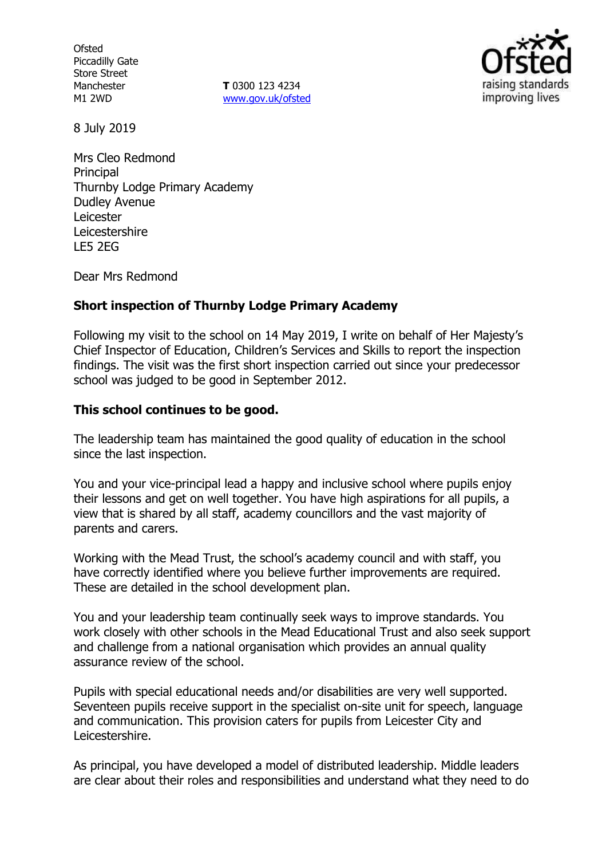**Ofsted** Piccadilly Gate Store Street Manchester M1 2WD

**T** 0300 123 4234 www.gov.uk/ofsted



8 July 2019

Mrs Cleo Redmond **Principal** Thurnby Lodge Primary Academy Dudley Avenue Leicester Leicestershire LE5 2EG

Dear Mrs Redmond

### **Short inspection of Thurnby Lodge Primary Academy**

Following my visit to the school on 14 May 2019, I write on behalf of Her Majesty's Chief Inspector of Education, Children's Services and Skills to report the inspection findings. The visit was the first short inspection carried out since your predecessor school was judged to be good in September 2012.

### **This school continues to be good.**

The leadership team has maintained the good quality of education in the school since the last inspection.

You and your vice-principal lead a happy and inclusive school where pupils enjoy their lessons and get on well together. You have high aspirations for all pupils, a view that is shared by all staff, academy councillors and the vast majority of parents and carers.

Working with the Mead Trust, the school's academy council and with staff, you have correctly identified where you believe further improvements are required. These are detailed in the school development plan.

You and your leadership team continually seek ways to improve standards. You work closely with other schools in the Mead Educational Trust and also seek support and challenge from a national organisation which provides an annual quality assurance review of the school.

Pupils with special educational needs and/or disabilities are very well supported. Seventeen pupils receive support in the specialist on-site unit for speech, language and communication. This provision caters for pupils from Leicester City and Leicestershire.

As principal, you have developed a model of distributed leadership. Middle leaders are clear about their roles and responsibilities and understand what they need to do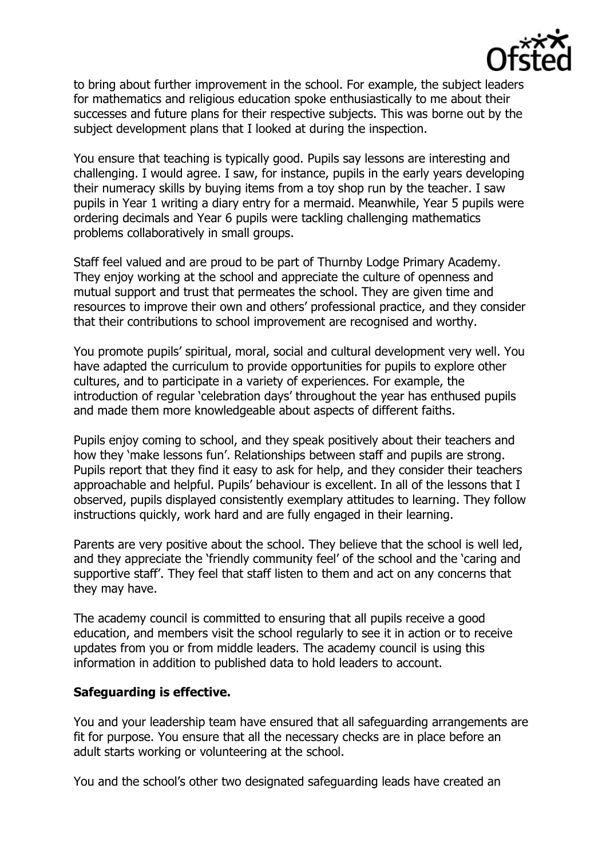

to bring about further improvement in the school. For example, the subject leaders for mathematics and religious education spoke enthusiastically to me about their successes and future plans for their respective subjects. This was borne out by the subject development plans that I looked at during the inspection.

You ensure that teaching is typically good. Pupils say lessons are interesting and challenging. I would agree. I saw, for instance, pupils in the early years developing their numeracy skills by buying items from a toy shop run by the teacher. I saw pupils in Year 1 writing a diary entry for a mermaid. Meanwhile, Year 5 pupils were ordering decimals and Year 6 pupils were tackling challenging mathematics problems collaboratively in small groups.

Staff feel valued and are proud to be part of Thurnby Lodge Primary Academy. They enjoy working at the school and appreciate the culture of openness and mutual support and trust that permeates the school. They are given time and resources to improve their own and others' professional practice, and they consider that their contributions to school improvement are recognised and worthy.

You promote pupils' spiritual, moral, social and cultural development very well. You have adapted the curriculum to provide opportunities for pupils to explore other cultures, and to participate in a variety of experiences. For example, the introduction of regular 'celebration days' throughout the year has enthused pupils and made them more knowledgeable about aspects of different faiths.

Pupils enjoy coming to school, and they speak positively about their teachers and how they 'make lessons fun'. Relationships between staff and pupils are strong. Pupils report that they find it easy to ask for help, and they consider their teachers approachable and helpful. Pupils' behaviour is excellent. In all of the lessons that I observed, pupils displayed consistently exemplary attitudes to learning. They follow instructions quickly, work hard and are fully engaged in their learning.

Parents are very positive about the school. They believe that the school is well led, and they appreciate the 'friendly community feel' of the school and the 'caring and supportive staff'. They feel that staff listen to them and act on any concerns that they may have.

The academy council is committed to ensuring that all pupils receive a good education, and members visit the school regularly to see it in action or to receive updates from you or from middle leaders. The academy council is using this information in addition to published data to hold leaders to account.

## **Safeguarding is effective.**

You and your leadership team have ensured that all safeguarding arrangements are fit for purpose. You ensure that all the necessary checks are in place before an adult starts working or volunteering at the school.

You and the school's other two designated safeguarding leads have created an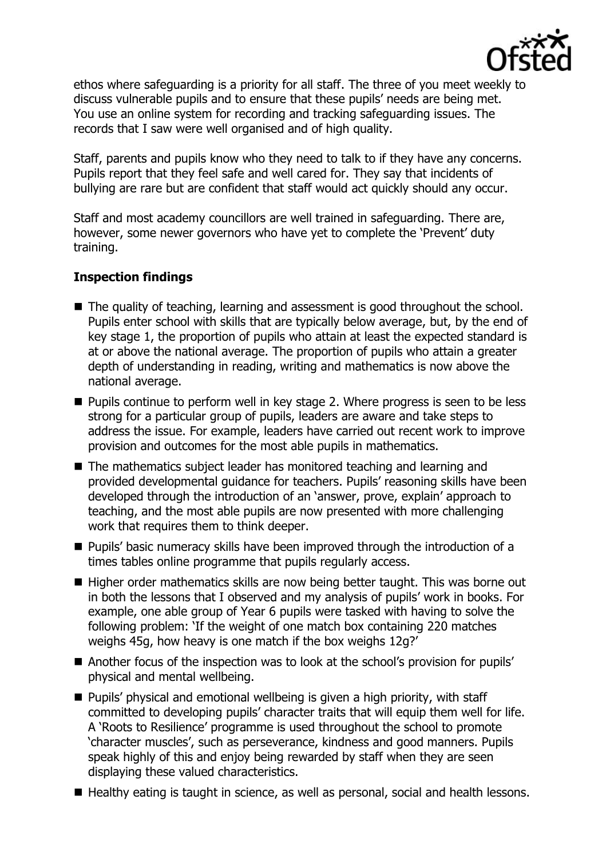

ethos where safeguarding is a priority for all staff. The three of you meet weekly to discuss vulnerable pupils and to ensure that these pupils' needs are being met. You use an online system for recording and tracking safeguarding issues. The records that I saw were well organised and of high quality.

Staff, parents and pupils know who they need to talk to if they have any concerns. Pupils report that they feel safe and well cared for. They say that incidents of bullying are rare but are confident that staff would act quickly should any occur.

Staff and most academy councillors are well trained in safeguarding. There are, however, some newer governors who have yet to complete the 'Prevent' duty training.

# **Inspection findings**

- The quality of teaching, learning and assessment is good throughout the school. Pupils enter school with skills that are typically below average, but, by the end of key stage 1, the proportion of pupils who attain at least the expected standard is at or above the national average. The proportion of pupils who attain a greater depth of understanding in reading, writing and mathematics is now above the national average.
- **Pupils continue to perform well in key stage 2. Where progress is seen to be less** strong for a particular group of pupils, leaders are aware and take steps to address the issue. For example, leaders have carried out recent work to improve provision and outcomes for the most able pupils in mathematics.
- The mathematics subject leader has monitored teaching and learning and provided developmental guidance for teachers. Pupils' reasoning skills have been developed through the introduction of an 'answer, prove, explain' approach to teaching, and the most able pupils are now presented with more challenging work that requires them to think deeper.
- Pupils' basic numeracy skills have been improved through the introduction of a times tables online programme that pupils regularly access.
- Higher order mathematics skills are now being better taught. This was borne out in both the lessons that I observed and my analysis of pupils' work in books. For example, one able group of Year 6 pupils were tasked with having to solve the following problem: 'If the weight of one match box containing 220 matches weighs 45g, how heavy is one match if the box weighs 12g?'
- Another focus of the inspection was to look at the school's provision for pupils' physical and mental wellbeing.
- **Pupils'** physical and emotional wellbeing is given a high priority, with staff committed to developing pupils' character traits that will equip them well for life. A 'Roots to Resilience' programme is used throughout the school to promote 'character muscles', such as perseverance, kindness and good manners. Pupils speak highly of this and enjoy being rewarded by staff when they are seen displaying these valued characteristics.
- Healthy eating is taught in science, as well as personal, social and health lessons.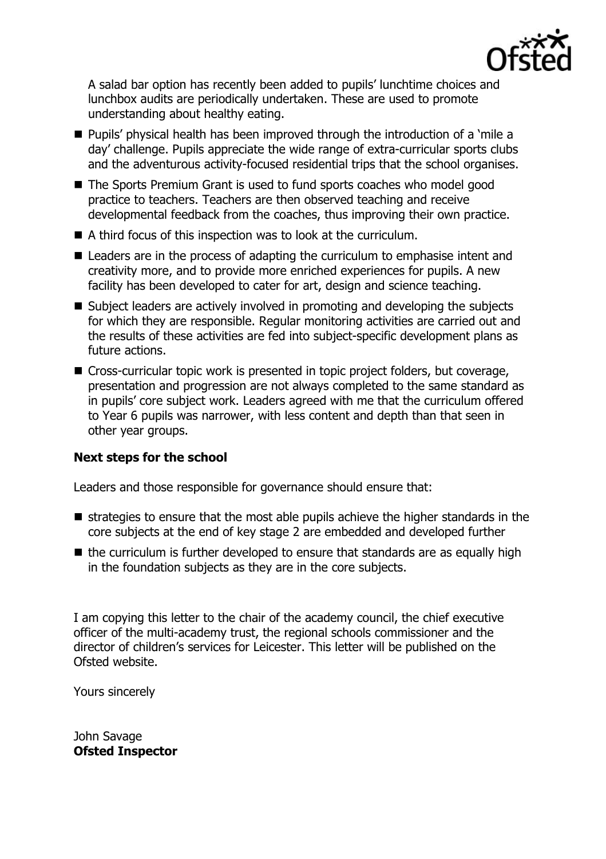

A salad bar option has recently been added to pupils' lunchtime choices and lunchbox audits are periodically undertaken. These are used to promote understanding about healthy eating.

- Pupils' physical health has been improved through the introduction of a 'mile a day' challenge. Pupils appreciate the wide range of extra-curricular sports clubs and the adventurous activity-focused residential trips that the school organises.
- The Sports Premium Grant is used to fund sports coaches who model good practice to teachers. Teachers are then observed teaching and receive developmental feedback from the coaches, thus improving their own practice.
- A third focus of this inspection was to look at the curriculum.
- Leaders are in the process of adapting the curriculum to emphasise intent and creativity more, and to provide more enriched experiences for pupils. A new facility has been developed to cater for art, design and science teaching.
- Subject leaders are actively involved in promoting and developing the subjects for which they are responsible. Regular monitoring activities are carried out and the results of these activities are fed into subject-specific development plans as future actions.
- Cross-curricular topic work is presented in topic project folders, but coverage, presentation and progression are not always completed to the same standard as in pupils' core subject work. Leaders agreed with me that the curriculum offered to Year 6 pupils was narrower, with less content and depth than that seen in other year groups.

## **Next steps for the school**

Leaders and those responsible for governance should ensure that:

- $\blacksquare$  strategies to ensure that the most able pupils achieve the higher standards in the core subjects at the end of key stage 2 are embedded and developed further
- $\blacksquare$  the curriculum is further developed to ensure that standards are as equally high in the foundation subjects as they are in the core subjects.

I am copying this letter to the chair of the academy council, the chief executive officer of the multi-academy trust, the regional schools commissioner and the director of children's services for Leicester. This letter will be published on the Ofsted website.

Yours sincerely

John Savage **Ofsted Inspector**